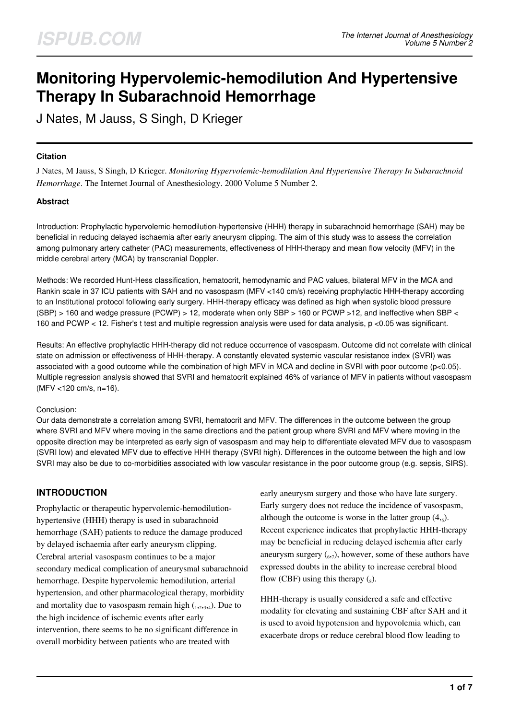# **Monitoring Hypervolemic-hemodilution And Hypertensive Therapy In Subarachnoid Hemorrhage**

J Nates, M Jauss, S Singh, D Krieger

### **Citation**

J Nates, M Jauss, S Singh, D Krieger. *Monitoring Hypervolemic-hemodilution And Hypertensive Therapy In Subarachnoid Hemorrhage*. The Internet Journal of Anesthesiology. 2000 Volume 5 Number 2.

### **Abstract**

Introduction: Prophylactic hypervolemic-hemodilution-hypertensive (HHH) therapy in subarachnoid hemorrhage (SAH) may be beneficial in reducing delayed ischaemia after early aneurysm clipping. The aim of this study was to assess the correlation among pulmonary artery catheter (PAC) measurements, effectiveness of HHH-therapy and mean flow velocity (MFV) in the middle cerebral artery (MCA) by transcranial Doppler.

Methods: We recorded Hunt-Hess classification, hematocrit, hemodynamic and PAC values, bilateral MFV in the MCA and Rankin scale in 37 ICU patients with SAH and no vasospasm (MFV <140 cm/s) receiving prophylactic HHH-therapy according to an Institutional protocol following early surgery. HHH-therapy efficacy was defined as high when systolic blood pressure (SBP) > 160 and wedge pressure (PCWP) > 12, moderate when only SBP > 160 or PCWP >12, and ineffective when SBP < 160 and PCWP < 12. Fisher's t test and multiple regression analysis were used for data analysis, p <0.05 was significant.

Results: An effective prophylactic HHH-therapy did not reduce occurrence of vasospasm. Outcome did not correlate with clinical state on admission or effectiveness of HHH-therapy. A constantly elevated systemic vascular resistance index (SVRI) was associated with a good outcome while the combination of high MFV in MCA and decline in SVRI with poor outcome (p<0.05). Multiple regression analysis showed that SVRI and hematocrit explained 46% of variance of MFV in patients without vasospasm (MFV <120 cm/s, n=16).

#### Conclusion:

Our data demonstrate a correlation among SVRI, hematocrit and MFV. The differences in the outcome between the group where SVRI and MFV where moving in the same directions and the patient group where SVRI and MFV where moving in the opposite direction may be interpreted as early sign of vasospasm and may help to differentiate elevated MFV due to vasospasm (SVRI low) and elevated MFV due to effective HHH therapy (SVRI high). Differences in the outcome between the high and low SVRI may also be due to co-morbidities associated with low vascular resistance in the poor outcome group (e.g. sepsis, SIRS).

# **INTRODUCTION**

Prophylactic or therapeutic hypervolemic-hemodilutionhypertensive (HHH) therapy is used in subarachnoid hemorrhage (SAH) patients to reduce the damage produced by delayed ischaemia after early aneurysm clipping. Cerebral arterial vasospasm continues to be a major secondary medical complication of aneurysmal subarachnoid hemorrhage. Despite hypervolemic hemodilution, arterial hypertension, and other pharmacological therapy, morbidity and mortality due to vasospasm remain high  $_{1,2,3,4}$ ). Due to the high incidence of ischemic events after early intervention, there seems to be no significant difference in overall morbidity between patients who are treated with

early aneurysm surgery and those who have late surgery. Early surgery does not reduce the incidence of vasospasm, although the outcome is worse in the latter group  $(4, 5)$ . Recent experience indicates that prophylactic HHH-therapy may be beneficial in reducing delayed ischemia after early aneurysm surgery  $({}_{6},7)$ , however, some of these authors have expressed doubts in the ability to increase cerebral blood flow (CBF) using this therapy  $\binom{8}{8}$ .

HHH-therapy is usually considered a safe and effective modality for elevating and sustaining CBF after SAH and it is used to avoid hypotension and hypovolemia which, can exacerbate drops or reduce cerebral blood flow leading to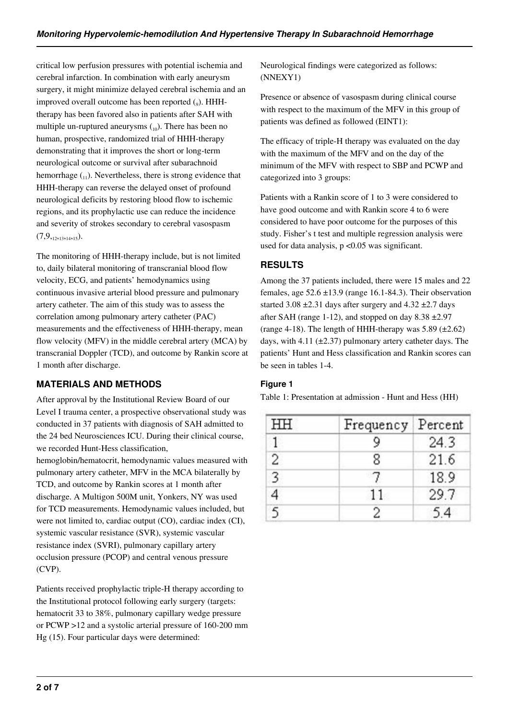critical low perfusion pressures with potential ischemia and cerebral infarction. In combination with early aneurysm surgery, it might minimize delayed cerebral ischemia and an improved overall outcome has been reported (9). HHHtherapy has been favored also in patients after SAH with multiple un-ruptured aneurysms  $\binom{10}{10}$ . There has been no human, prospective, randomized trial of HHH-therapy demonstrating that it improves the short or long-term neurological outcome or survival after subarachnoid hemorrhage  $\binom{1}{1}$ . Nevertheless, there is strong evidence that HHH-therapy can reverse the delayed onset of profound neurological deficits by restoring blood flow to ischemic regions, and its prophylactic use can reduce the incidence and severity of strokes secondary to cerebral vasospasm  $(7,9,12,13,14,15).$ 

The monitoring of HHH-therapy include, but is not limited to, daily bilateral monitoring of transcranial blood flow velocity, ECG, and patients' hemodynamics using continuous invasive arterial blood pressure and pulmonary artery catheter. The aim of this study was to assess the correlation among pulmonary artery catheter (PAC) measurements and the effectiveness of HHH-therapy, mean flow velocity (MFV) in the middle cerebral artery (MCA) by transcranial Doppler (TCD), and outcome by Rankin score at 1 month after discharge.

# **MATERIALS AND METHODS**

After approval by the Institutional Review Board of our Level I trauma center, a prospective observational study was conducted in 37 patients with diagnosis of SAH admitted to the 24 bed Neurosciences ICU. During their clinical course, we recorded Hunt-Hess classification,

hemoglobin/hematocrit, hemodynamic values measured with pulmonary artery catheter, MFV in the MCA bilaterally by TCD, and outcome by Rankin scores at 1 month after discharge. A Multigon 500M unit, Yonkers, NY was used for TCD measurements. Hemodynamic values included, but were not limited to, cardiac output (CO), cardiac index (CI), systemic vascular resistance (SVR), systemic vascular resistance index (SVRI), pulmonary capillary artery occlusion pressure (PCOP) and central venous pressure (CVP).

Patients received prophylactic triple-H therapy according to the Institutional protocol following early surgery (targets: hematocrit 33 to 38%, pulmonary capillary wedge pressure or PCWP >12 and a systolic arterial pressure of 160-200 mm Hg (15). Four particular days were determined:

Neurological findings were categorized as follows: (NNEXY1)

Presence or absence of vasospasm during clinical course with respect to the maximum of the MFV in this group of patients was defined as followed (EINT1):

The efficacy of triple-H therapy was evaluated on the day with the maximum of the MFV and on the day of the minimum of the MFV with respect to SBP and PCWP and categorized into 3 groups:

Patients with a Rankin score of 1 to 3 were considered to have good outcome and with Rankin score 4 to 6 were considered to have poor outcome for the purposes of this study. Fisher's t test and multiple regression analysis were used for data analysis,  $p < 0.05$  was significant.

# **RESULTS**

Among the 37 patients included, there were 15 males and 22 females, age  $52.6 \pm 13.9$  (range 16.1-84.3). Their observation started  $3.08 \pm 2.31$  days after surgery and  $4.32 \pm 2.7$  days after SAH (range 1-12), and stopped on day  $8.38 \pm 2.97$ (range 4-18). The length of HHH-therapy was  $5.89$  ( $\pm 2.62$ ) days, with 4.11 ( $\pm$ 2.37) pulmonary artery catheter days. The patients' Hunt and Hess classification and Rankin scores can be seen in tables 1-4.

# **Figure 1**

Table 1: Presentation at admission - Hunt and Hess (HH)

| HH | Frequency Percent |      |  |
|----|-------------------|------|--|
|    |                   | 24.3 |  |
| 2  | Ջ                 | 21.6 |  |
|    |                   | 18.9 |  |
|    | 11                | 29.7 |  |
|    |                   | 54   |  |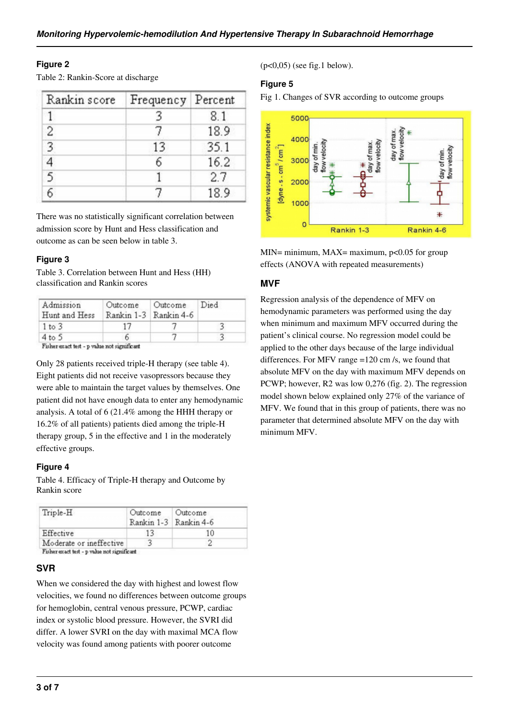# **Figure 2**

Table 2: Rankin-Score at discharge

| Rankin score | Frequency Percent |      |
|--------------|-------------------|------|
|              |                   | 8.1  |
| 2            |                   | 18.9 |
|              | 13                | 35.1 |
|              |                   | 16.2 |
| 5            |                   | 2.7  |
|              |                   | 18.9 |

There was no statistically significant correlation between admission score by Hunt and Hess classification and outcome as can be seen below in table 3.

# **Figure 3**

Table 3. Correlation between Hunt and Hess (HH) classification and Rankin scores

| Admission<br>Hunt and Hess | Outcome | Outcome<br>Rankin 1-3 Rankin 4-6 | Died |
|----------------------------|---------|----------------------------------|------|
| 1 to 3                     |         |                                  |      |
| 4 to 5                     |         |                                  |      |

Fisher exact test - p value not significant

Only 28 patients received triple-H therapy (see table 4). Eight patients did not receive vasopressors because they were able to maintain the target values by themselves. One patient did not have enough data to enter any hemodynamic analysis. A total of 6 (21.4% among the HHH therapy or 16.2% of all patients) patients died among the triple-H therapy group, 5 in the effective and 1 in the moderately effective groups.

# **Figure 4**

Table 4. Efficacy of Triple-H therapy and Outcome by Rankin score

| Triple-H                | Outcome Outcome | Rankin 1-3 Rankin 4-6 |
|-------------------------|-----------------|-----------------------|
| Effective               | 13              | 10                    |
| Moderate or ineffective |                 |                       |

# **SVR**

When we considered the day with highest and lowest flow velocities, we found no differences between outcome groups for hemoglobin, central venous pressure, PCWP, cardiac index or systolic blood pressure. However, the SVRI did differ. A lower SVRI on the day with maximal MCA flow velocity was found among patients with poorer outcome

(p<0,05) (see fig.1 below).

## **Figure 5**

Fig 1. Changes of SVR according to outcome groups



MIN= minimum, MAX= maximum,  $p<0.05$  for group effects (ANOVA with repeated measurements)

# **MVF**

Regression analysis of the dependence of MFV on hemodynamic parameters was performed using the day when minimum and maximum MFV occurred during the patient's clinical course. No regression model could be applied to the other days because of the large individual differences. For MFV range =120 cm /s, we found that absolute MFV on the day with maximum MFV depends on PCWP; however, R2 was low 0,276 (fig. 2). The regression model shown below explained only 27% of the variance of MFV. We found that in this group of patients, there was no parameter that determined absolute MFV on the day with minimum MFV.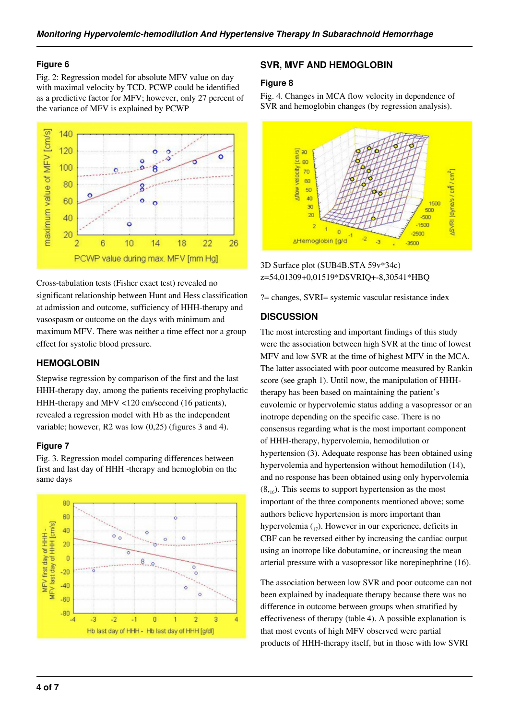#### **Figure 6**

Fig. 2: Regression model for absolute MFV value on day with maximal velocity by TCD. PCWP could be identified as a predictive factor for MFV; however, only 27 percent of the variance of MFV is explained by PCWP



Cross-tabulation tests (Fisher exact test) revealed no significant relationship between Hunt and Hess classification at admission and outcome, sufficiency of HHH-therapy and vasospasm or outcome on the days with minimum and maximum MFV. There was neither a time effect nor a group effect for systolic blood pressure.

# **HEMOGLOBIN**

Stepwise regression by comparison of the first and the last HHH-therapy day, among the patients receiving prophylactic HHH-therapy and MFV <120 cm/second (16 patients), revealed a regression model with Hb as the independent variable; however, R2 was low (0,25) (figures 3 and 4).

#### **Figure 7**

Fig. 3. Regression model comparing differences between first and last day of HHH -therapy and hemoglobin on the same days



#### **SVR, MVF AND HEMOGLOBIN**

#### **Figure 8**

Fig. 4. Changes in MCA flow velocity in dependence of SVR and hemoglobin changes (by regression analysis).



3D Surface plot (SUB4B.STA 59v\*34c) z=54,01309+0,01519\*DSVRIQ+-8,30541\*HBQ

?= changes, SVRI= systemic vascular resistance index

#### **DISCUSSION**

The most interesting and important findings of this study were the association between high SVR at the time of lowest MFV and low SVR at the time of highest MFV in the MCA. The latter associated with poor outcome measured by Rankin score (see graph 1). Until now, the manipulation of HHHtherapy has been based on maintaining the patient's euvolemic or hypervolemic status adding a vasopressor or an inotrope depending on the specific case. There is no consensus regarding what is the most important component of HHH-therapy, hypervolemia, hemodilution or hypertension (3). Adequate response has been obtained using hypervolemia and hypertension without hemodilution (14), and no response has been obtained using only hypervolemia  $(8, 16)$ . This seems to support hypertension as the most important of the three components mentioned above; some authors believe hypertension is more important than hypervolemia  $_{17}$ ). However in our experience, deficits in CBF can be reversed either by increasing the cardiac output using an inotrope like dobutamine, or increasing the mean arterial pressure with a vasopressor like norepinephrine (16).

The association between low SVR and poor outcome can not been explained by inadequate therapy because there was no difference in outcome between groups when stratified by effectiveness of therapy (table 4). A possible explanation is that most events of high MFV observed were partial products of HHH-therapy itself, but in those with low SVRI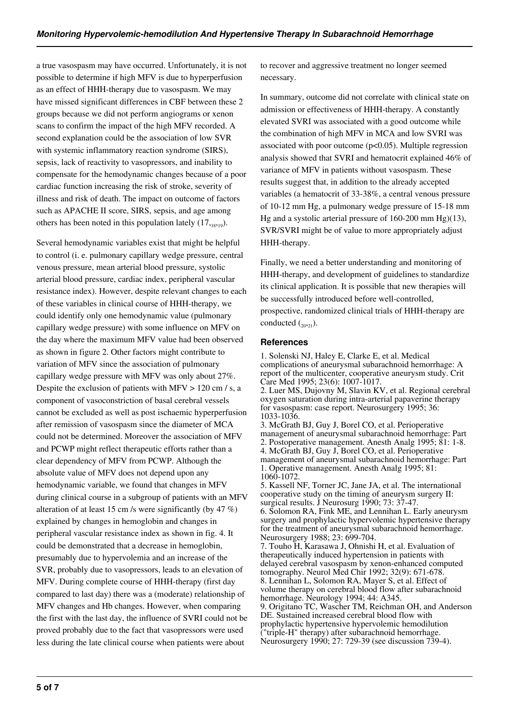a true vasospasm may have occurred. Unfortunately, it is not possible to determine if high MFV is due to hyperperfusion as an effect of HHH-therapy due to vasospasm. We may have missed significant differences in CBF between these 2 groups because we did not perform angiograms or xenon scans to confirm the impact of the high MFV recorded. A second explanation could be the association of low SVR with systemic inflammatory reaction syndrome (SIRS), sepsis, lack of reactivity to vasopressors, and inability to compensate for the hemodynamic changes because of a poor cardiac function increasing the risk of stroke, severity of illness and risk of death. The impact on outcome of factors such as APACHE II score, SIRS, sepsis, and age among others has been noted in this population lately  $(17,18,19)$ .

Several hemodynamic variables exist that might be helpful to control (i. e. pulmonary capillary wedge pressure, central venous pressure, mean arterial blood pressure, systolic arterial blood pressure, cardiac index, peripheral vascular resistance index). However, despite relevant changes to each of these variables in clinical course of HHH-therapy, we could identify only one hemodynamic value (pulmonary capillary wedge pressure) with some influence on MFV on the day where the maximum MFV value had been observed as shown in figure 2. Other factors might contribute to variation of MFV since the association of pulmonary capillary wedge pressure with MFV was only about 27%. Despite the exclusion of patients with MFV > 120 cm / s, a component of vasoconstriction of basal cerebral vessels cannot be excluded as well as post ischaemic hyperperfusion after remission of vasospasm since the diameter of MCA could not be determined. Moreover the association of MFV and PCWP might reflect therapeutic efforts rather than a clear dependency of MFV from PCWP. Although the absolute value of MFV does not depend upon any hemodynamic variable, we found that changes in MFV during clinical course in a subgroup of patients with an MFV alteration of at least 15 cm /s were significantly (by 47 %) explained by changes in hemoglobin and changes in peripheral vascular resistance index as shown in fig. 4. It could be demonstrated that a decrease in hemoglobin, presumably due to hypervolemia and an increase of the SVR, probably due to vasopressors, leads to an elevation of MFV. During complete course of HHH-therapy (first day compared to last day) there was a (moderate) relationship of MFV changes and Hb changes. However, when comparing the first with the last day, the influence of SVRI could not be proved probably due to the fact that vasopressors were used less during the late clinical course when patients were about

to recover and aggressive treatment no longer seemed necessary.

In summary, outcome did not correlate with clinical state on admission or effectiveness of HHH-therapy. A constantly elevated SVRI was associated with a good outcome while the combination of high MFV in MCA and low SVRI was associated with poor outcome  $(p<0.05)$ . Multiple regression analysis showed that SVRI and hematocrit explained 46% of variance of MFV in patients without vasospasm. These results suggest that, in addition to the already accepted variables (a hematocrit of 33-38%, a central venous pressure of 10-12 mm Hg, a pulmonary wedge pressure of 15-18 mm Hg and a systolic arterial pressure of 160-200 mm Hg)(13), SVR/SVRI might be of value to more appropriately adjust HHH-therapy.

Finally, we need a better understanding and monitoring of HHH-therapy, and development of guidelines to standardize its clinical application. It is possible that new therapies will be successfully introduced before well-controlled, prospective, randomized clinical trials of HHH-therapy are conducted  $_{20,21}$ ).

#### **References**

1. Solenski NJ, Haley E, Clarke E, et al. Medical complications of aneurysmal subarachnoid hemorrhage: A report of the multicenter, cooperative aneurysm study. Crit Care Med 1995; 23(6): 1007-1017. 2. Luer MS, Dujovny M, Slavin KV, et al. Regional cerebral oxygen saturation during intra-arterial papaverine therapy for vasospasm: case report. Neurosurgery 1995; 36: 1033-1036.

3. McGrath BJ, Guy J, Borel CO, et al. Perioperative management of aneurysmal subarachnoid hemorrhage: Part 2. Postoperative management. Anesth Analg 1995; 81: 1-8. 4. McGrath BJ, Guy J, Borel CO, et al. Perioperative management of aneurysmal subarachnoid hemorrhage: Part 1. Operative management. Anesth Analg 1995; 81: 1060-1072.

5. Kassell NF, Torner JC, Jane JA, et al. The international cooperative study on the timing of aneurysm surgery II: surgical results. J Neurosurg 1990; 73: 37-47. 6. Solomon RA, Fink ME, and Lennihan L. Early aneurysm surgery and prophylactic hypervolemic hypertensive therapy for the treatment of aneurysmal subarachnoid hemorrhage. Neurosurgery 1988; 23: 699-704.

7. Touho H, Karasawa J, Ohnishi H, et al. Evaluation of therapeutically induced hypertension in patients with delayed cerebral vasospasm by xenon-enhanced computed tomography. Neurol Med Chir 1992; 32(9): 671-678. 8. Lennihan L, Solomon RA, Mayer S, et al. Effect of volume therapy on cerebral blood flow after subarachnoid hemorrhage. Neurology 1994; 44: A345. 9. Origitano TC, Wascher TM, Reichman OH, and Anderson DE. Sustained increased cerebral blood flow with prophylactic hypertensive hypervolemic hemodilution ("triple-H" therapy) after subarachnoid hemorrhage. Neurosurgery 1990; 27: 729-39 (see discussion 739-4).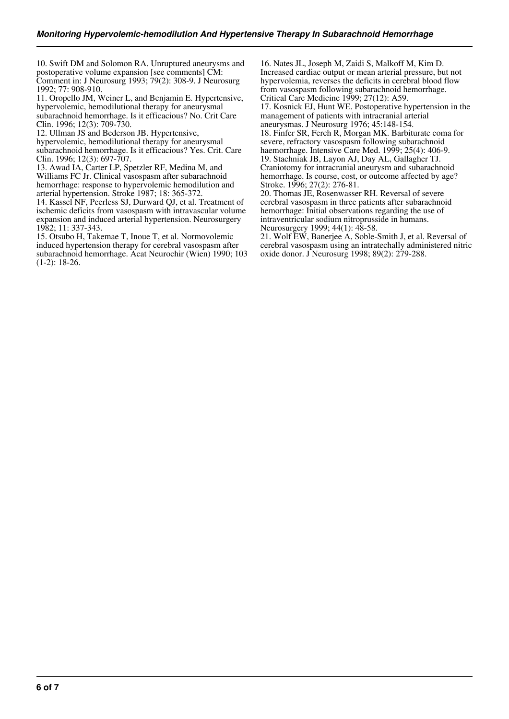10. Swift DM and Solomon RA. Unruptured aneurysms and postoperative volume expansion [see comments] CM: Comment in: J Neurosurg 1993; 79(2): 308-9. J Neurosurg 1992; 77: 908-910.

11. Oropello JM, Weiner L, and Benjamin E. Hypertensive, hypervolemic, hemodilutional therapy for aneurysmal subarachnoid hemorrhage. Is it efficacious? No. Crit Care Clin. 1996; 12(3): 709-730.

12. Ullman JS and Bederson JB. Hypertensive, hypervolemic, hemodilutional therapy for aneurysmal subarachnoid hemorrhage. Is it efficacious? Yes. Crit. Care Clin. 1996; 12(3): 697-707.

13. Awad IA, Carter LP, Spetzler RF, Medina M, and Williams FC Jr. Clinical vasospasm after subarachnoid hemorrhage: response to hypervolemic hemodilution and arterial hypertension. Stroke 1987; 18: 365-372.

14. Kassel NF, Peerless SJ, Durward QJ, et al. Treatment of ischemic deficits from vasospasm with intravascular volume expansion and induced arterial hypertension. Neurosurgery 1982; 11: 337-343.

15. Otsubo H, Takemae T, Inoue T, et al. Normovolemic induced hypertension therapy for cerebral vasospasm after subarachnoid hemorrhage. Acat Neurochir (Wien) 1990; 103 (1-2): 18-26.

16. Nates JL, Joseph M, Zaidi S, Malkoff M, Kim D. Increased cardiac output or mean arterial pressure, but not hypervolemia, reverses the deficits in cerebral blood flow from vasospasm following subarachnoid hemorrhage. Critical Care Medicine 1999; 27(12): A59. 17. Kosnick EJ, Hunt WE. Postoperative hypertension in the

management of patients with intracranial arterial aneurysmas. J Neurosurg 1976; 45:148-154.

18. Finfer SR, Ferch R, Morgan MK. Barbiturate coma for severe, refractory vasospasm following subarachnoid haemorrhage. Intensive Care Med. 1999; 25(4): 406-9. 19. Stachniak JB, Layon AJ, Day AL, Gallagher TJ. Craniotomy for intracranial aneurysm and subarachnoid hemorrhage. Is course, cost, or outcome affected by age? Stroke. 1996; 27(2): 276-81.

20. Thomas JE, Rosenwasser RH. Reversal of severe cerebral vasospasm in three patients after subarachnoid hemorrhage: Initial observations regarding the use of intraventricular sodium nitroprusside in humans. Neurosurgery 1999; 44(1): 48-58.

21. Wolf EW, Banerjee A, Soble-Smith J, et al. Reversal of cerebral vasospasm using an intratechally administered nitric oxide donor. J Neurosurg 1998; 89(2): 279-288.